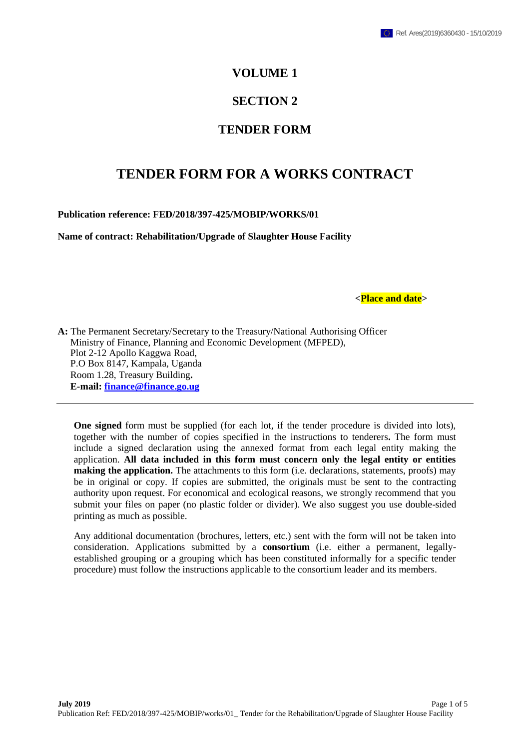## **VOLUME 1**

## **SECTION 2**

# **TENDER FORM**

# **TENDER FORM FOR A WORKS CONTRACT**

**Publication reference: FED/2018/397-425/MOBIP/WORKS/01**

**Name of contract: Rehabilitation/Upgrade of Slaughter House Facility**

**<Place and date>**

**A:** The Permanent Secretary/Secretary to the Treasury/National Authorising Officer Ministry of Finance, Planning and Economic Development (MFPED), Plot 2-12 Apollo Kaggwa Road, P.O Box 8147, Kampala, Uganda Room 1.28, Treasury Building**. E-mail: [finance@finance.go.ug](mailto:finance@finance.go.ug)**

**One signed** form must be supplied (for each lot, if the tender procedure is divided into lots), together with the number of copies specified in the instructions to tenderers**.** The form must include a signed declaration using the annexed format from each legal entity making the application. **All data included in this form must concern only the legal entity or entities making the application.** The attachments to this form (i.e. declarations, statements, proofs) may be in original or copy. If copies are submitted, the originals must be sent to the contracting authority upon request. For economical and ecological reasons, we strongly recommend that you submit your files on paper (no plastic folder or divider). We also suggest you use double-sided printing as much as possible.

Any additional documentation (brochures, letters, etc.) sent with the form will not be taken into consideration. Applications submitted by a **consortium** (i.e. either a permanent, legallyestablished grouping or a grouping which has been constituted informally for a specific tender procedure) must follow the instructions applicable to the consortium leader and its members.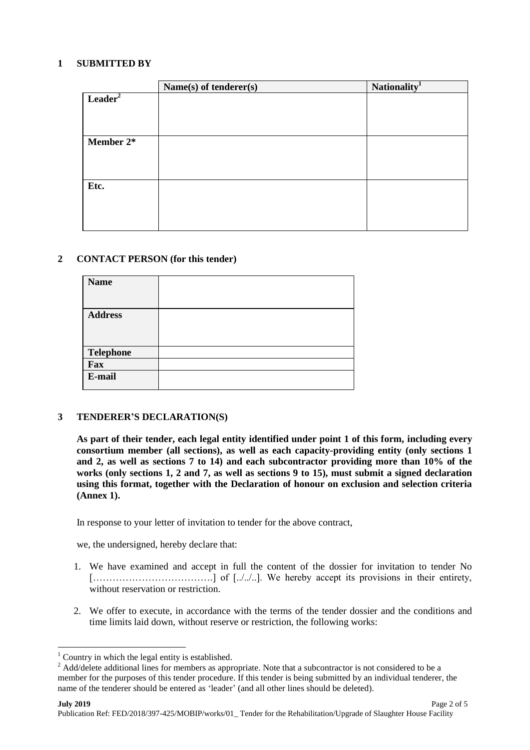#### **1 SUBMITTED BY**

|                     | Name(s) of tenderer(s) | Nationality <sup>1</sup> |
|---------------------|------------------------|--------------------------|
| Leader <sup>2</sup> |                        |                          |
|                     |                        |                          |
|                     |                        |                          |
| Member 2*           |                        |                          |
|                     |                        |                          |
|                     |                        |                          |
| Etc.                |                        |                          |
|                     |                        |                          |
|                     |                        |                          |
|                     |                        |                          |

#### **2 CONTACT PERSON (for this tender)**

| <b>Name</b>      |  |
|------------------|--|
|                  |  |
| <b>Address</b>   |  |
|                  |  |
|                  |  |
| <b>Telephone</b> |  |
| Fax              |  |
| E-mail           |  |
|                  |  |

#### **3 TENDERER'S DECLARATION(S)**

**As part of their tender, each legal entity identified under point 1 of this form, including every consortium member (all sections), as well as each capacity-providing entity (only sections 1 and 2, as well as sections 7 to 14) and each subcontractor providing more than 10% of the works (only sections 1, 2 and 7, as well as sections 9 to 15), must submit a signed declaration using this format, together with the Declaration of honour on exclusion and selection criteria (Annex 1).**

In response to your letter of invitation to tender for the above contract,

we, the undersigned, hereby declare that:

- 1. We have examined and accept in full the content of the dossier for invitation to tender No [……………………………….] of [../../..]. We hereby accept its provisions in their entirety, without reservation or restriction.
- 2. We offer to execute, in accordance with the terms of the tender dossier and the conditions and time limits laid down, without reserve or restriction, the following works:

 $\overline{a}$ 

 $1$  Country in which the legal entity is established.

<sup>&</sup>lt;sup>2</sup> Add/delete additional lines for members as appropriate. Note that a subcontractor is not considered to be a member for the purposes of this tender procedure. If this tender is being submitted by an individual tenderer, the name of the tenderer should be entered as 'leader' (and all other lines should be deleted).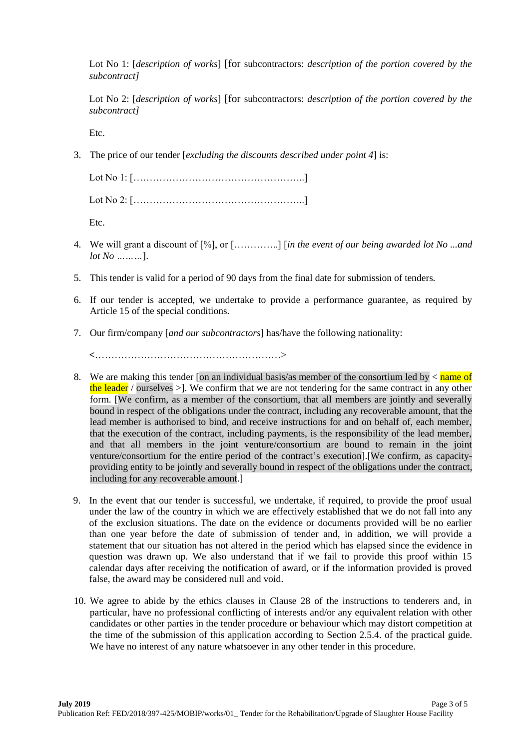Lot No 1: [*description of works*] [for subcontractors: *description of the portion covered by the subcontract]*

Lot No 2: [*description of works*] [for subcontractors: *description of the portion covered by the subcontract]*

Etc.

3. The price of our tender [*excluding the discounts described under point 4*] is:

Lot No 1: [……………………………………………..] Lot No 2: [……………………………………………..]

Etc.

- 4. We will grant a discount of [%], or […………..] [*in the event of our being awarded lot No ...and lot No ………*].
- 5. This tender is valid for a period of 90 days from the final date for submission of tenders.
- 6. If our tender is accepted, we undertake to provide a performance guarantee, as required by Article 15 of the special conditions.
- 7. Our firm/company [*and our subcontractors*] has/have the following nationality:

**<**…………………………………………………>

- 8. We are making this tender [on an individual basis/as member of the consortium led by  $\lt$  name of the leader  $/$  ourselves  $>$ ]. We confirm that we are not tendering for the same contract in any other form. [We confirm, as a member of the consortium, that all members are jointly and severally bound in respect of the obligations under the contract, including any recoverable amount, that the lead member is authorised to bind, and receive instructions for and on behalf of, each member, that the execution of the contract, including payments, is the responsibility of the lead member, and that all members in the joint venture/consortium are bound to remain in the joint venture/consortium for the entire period of the contract's execution].[We confirm, as capacityproviding entity to be jointly and severally bound in respect of the obligations under the contract, including for any recoverable amount.]
- 9. In the event that our tender is successful, we undertake, if required, to provide the proof usual under the law of the country in which we are effectively established that we do not fall into any of the exclusion situations. The date on the evidence or documents provided will be no earlier than one year before the date of submission of tender and, in addition, we will provide a statement that our situation has not altered in the period which has elapsed since the evidence in question was drawn up. We also understand that if we fail to provide this proof within 15 calendar days after receiving the notification of award, or if the information provided is proved false, the award may be considered null and void.
- 10. We agree to abide by the ethics clauses in Clause 28 of the instructions to tenderers and, in particular, have no professional conflicting of interests and/or any equivalent relation with other candidates or other parties in the tender procedure or behaviour which may distort competition at the time of the submission of this application according to Section 2.5.4. of the practical guide. We have no interest of any nature whatsoever in any other tender in this procedure.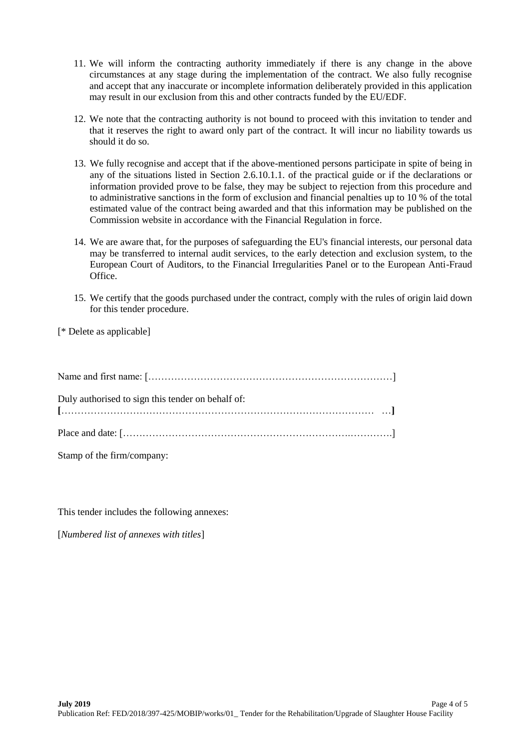- 11. We will inform the contracting authority immediately if there is any change in the above circumstances at any stage during the implementation of the contract. We also fully recognise and accept that any inaccurate or incomplete information deliberately provided in this application may result in our exclusion from this and other contracts funded by the EU/EDF.
- 12. We note that the contracting authority is not bound to proceed with this invitation to tender and that it reserves the right to award only part of the contract. It will incur no liability towards us should it do so.
- 13. We fully recognise and accept that if the above-mentioned persons participate in spite of being in any of the situations listed in Section 2.6.10.1.1. of the practical guide or if the declarations or information provided prove to be false, they may be subject to rejection from this procedure and to administrative sanctions in the form of exclusion and financial penalties up to 10 % of the total estimated value of the contract being awarded and that this information may be published on the Commission website in accordance with the Financial Regulation in force.
- 14. We are aware that, for the purposes of safeguarding the EU's financial interests, our personal data may be transferred to internal audit services, to the early detection and exclusion system, to the European Court of Auditors, to the Financial Irregularities Panel or to the European Anti-Fraud Office.
- 15. We certify that the goods purchased under the contract, comply with the rules of origin laid down for this tender procedure.

[\* Delete as applicable]

| Duly authorised to sign this tender on behalf of: |
|---------------------------------------------------|
|                                                   |

Stamp of the firm/company:

This tender includes the following annexes:

[*Numbered list of annexes with titles*]